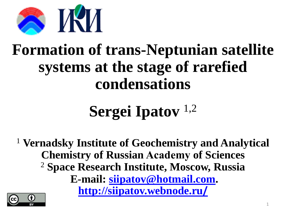

## **Formation of trans-Neptunian satellite systems at the stage of rarefied condensations**

# **Sergei Ipatov** 1,2

<sup>1</sup> **Vernadsky Institute of Geochemistry and Analytical Chemistry of Russian Academу of Sciences** <sup>2</sup> **Space Research Institute, Moscow, Russia E-mail: [siipatov@hotmail.com.](mailto:siipatov@hotmail.com) [http://siipatov.webnode.ru](http://siipatov.webnode.ru/)[/](http://siipatov.webnode.ru/)**

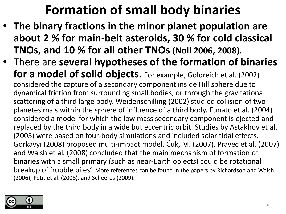## **Formation of small body binaries**

- **The binary fractions in the minor planet population are about 2 % for main-belt asteroids, 30 % for cold classical TNOs, and 10 % for all other TNOs (Noll 2006, 2008).**
- There are **several hypotheses of the formation of binaries for a model of solid objects**. For example, Goldreich et al. (2002) considered the capture of a secondary component inside Hill sphere due to dynamical friction from surrounding small bodies, or through the gravitational scattering of a third large body. Weidenschilling (2002) studied collision of two planetesimals within the sphere of influence of a third body. Funato et al. (2004) considered a model for which the low mass secondary component is ejected and replaced by the third body in a wide but eccentric orbit. Studies by Astakhov et al. (2005) were based on four-body simulations and included solar tidal effects. Gorkavyi (2008) proposed multi-impact model. Ćuk, M. (2007), Pravec et al. (2007) and Walsh et al. (2008) concluded that the main mechanism of formation of binaries with a small primary (such as near-Earth objects) could be rotational breakup of 'rubble piles'. More references can be found in the papers by Richardson and Walsh (2006), Petit et al. (2008), and Scheeres (2009).

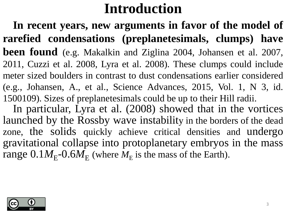## **Introduction**

**In recent years, new arguments in favor of the model of rarefied condensations (preplanetesimals, clumps) have been found** (e.g. Makalkin and Ziglina 2004, Johansen et al. 2007, 2011, Cuzzi et al. 2008, Lyra et al. 2008). These clumps could include meter sized boulders in contrast to dust condensations earlier considered (e.g., Johansen, A., et al., Science Advances, 2015, Vol. 1, N 3, id. 1500109). Sizes of preplanetesimals could be up to their Hill radii.

In particular, Lyra et al. (2008) showed that in the vortices launched by the Rossby wave instability in the borders of the dead zone, the solids quickly achieve critical densities and undergo gravitational collapse into protoplanetary embryos in the mass range  $0.1M_E$ - $0.6M_E$  (where  $M_E$  is the mass of the Earth).

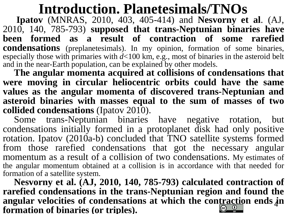## **Introduction. Planetesimals/TNOs**

**Ipatov** (MNRAS, 2010, 403, 405-414) and **Nesvorny et al**. (AJ, 2010, 140, 785-793) **supposed that trans-Neptunian binaries have been formed as a result of contraction of some rarefied condensations** (preplanetesimals). In my opinion, formation of some binaries, especially those with primaries with *d*<100 km, e.g., most of binaries in the asteroid belt and in the near-Earth population, can be explained by other models.

**The angular momenta acquired at collisions of condensations that were moving in circular heliocentric orbits could have the same values as the angular momenta of discovered trans-Neptunian and asteroid binaries with masses equal to the sum of masses of two collided condensations** (Ipatov 2010).

Some trans-Neptunian binaries have negative rotation, but condensations initially formed in a protoplanet disk had only positive rotation. Ipatov (2010a-b) concluded that TNO satellite systems formed from those rarefied condensations that got the necessary angular momentum as a result of a collision of two condensations. My estimates of the angular momentum obtained at a collision is in accordance with that needed for formation of a satellite system.

**Nesvorny et al. (AJ, 2010, 140, 785-793) calculated contraction of rarefied condensations in the trans-Neptunian region and found the angular velocities of condensations at which the contraction ends in** 4**formation of binaries (or triples).**  $\frac{1}{x}$  (cc)  $\frac{1}{x}$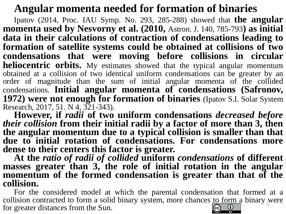#### **Angular momenta needed for formation of binaries**

Ipatov (2014, Proc. IAU Symp. No. 293, 285-288) showed that **the angular momenta used by Nesvorny et al. (2010,** Astron. J. 140, 785-793**) as initial data in their calculations of contraction of condensations leading to formation of satellite systems could be obtained at collisions of two condensations that were moving before collisions in circular heliocentric orbits.** My estimates showed that the typical angular momentum obtained at a collision of two identical uniform condensations can be greater by an order of magnitude than the sum of initial angular momenta of the collided condensations. **Initial angular momenta of condensations (Safronov, 1972) were not enough for formation of binaries** (Ipatov S.I. Solar System Research, 2017, 51. N 4, 321-343).

**However, if** *radii* **of two uniform condensations** *decreased before their collision* **from their initial radii by a factor of more than 3, then the angular momentum due to a typical collision is smaller than that due to initial rotation of condensations. For condensations more dense to their centers this factor is greater.**

**At the** *ratio of radii of collided* **uniform** *condensations* **of different masses greater than 3, the role of initial rotation in the angular momentum of the formed condensation is greater than that of the collision.**

For the considered model at which the parental condensation that formed at a collision contracted to form a solid binary system, more chances to form a binary were for greater distances from the Sun.  $\frac{1}{\alpha}$  $\left(\mathrm{cc}\right)$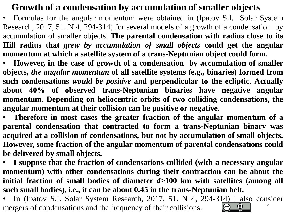#### **Growth of a condensation by accumulation of smaller objects**

• Formulas for the angular momentum were obtained in (Ipatov S.I. Solar System Research, 2017, 51. N 4, 294-314) for several models of a growth of a condensation by accumulation of smaller objects. **The parental condensation with radius close to its Hill radius that** *grew by accumulation of small objects* **could get the angular momentum at which a satellite system of a trans-Neptunian object could form.**

• **However, in the case of growth of a condensation by accumulation of smaller objects,** *the angular momentum* **of all satellite systems (e.g., binaries) formed from such condensations** *would be positive* **and perpendicular to the ecliptic. Actually about 40% of observed trans-Neptunian binaries have negative angular momentum**. **Depending on heliocentric orbits of two colliding condensations, the angular momentum at their collision can be positive or negative.**

• **Therefore in most cases the greater fraction of the angular momentum of a parental condensation that contracted to form a trans-Neptunian binary was acquired at a collision of condensations, but not by accumulation of small objects. However, some fraction of the angular momentum of parental condensations could be delivered by small objects.**

• **I suppose that the fraction of condensations collided (with a necessary angular momentum) with other condensations during their contraction can be about the initial fraction of small bodies of diameter** *d***>100 km with satellites (among all such small bodies), i.e., it can be about 0.45 in the trans-Neptunian belt.**

• In (Ipatov S.I. Solar System Research, 2017, 51. N 4, 294-314) I also consider 6 $\frac{1}{2}$ mergers of condensations and the frequency of their collisions.  $\left(\text{cc}\right)$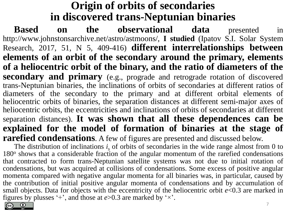#### **Origin of orbits of secondaries in discovered trans-Neptunian binaries**

**Based on the observational data** presented in http://www.johnstonsarchive.net/astro/astmoons/, **I studied** (Ipatov S.I. Solar System Research, 2017, 51, N 5, 409-416) **different interrelationships between elements of an orbit of the secondary around the primary, elements of a heliocentric orbit of the binary, and the ratio of diameters of the secondary and primary** (e.g., prograde and retrograde rotation of discovered trans-Neptunian binaries, the inclinations of orbits of secondaries at different ratios of diameters of the secondary to the primary and at different orbital elements of heliocentric orbits of binaries, the separation distances at different semi-major axes of heliocentric orbits, the eccentricities and inclinations of orbits of secondaries at different separation distances). **It was shown that all these dependences can be explained for the model of formation of binaries at the stage of rarefied condensations**. A few of figures are presented and discussed below.

The distribution of inclinations  $i<sub>s</sub>$  of orbits of secondaries in the wide range almost from 0 to 180° shows that a considerable fraction of the angular momentum of the rarefied condensations that contracted to form trans-Neptunian satellite systems was not due to initial rotation of condensations, but was acquired at collisions of condensations. Some excess of positive angular momenta compared with negative angular momenta for all binaries was, in particular, caused by the contribution of initial positive angular momenta of condensations and by accumulation of small objects. Data for objects with the eccentricity of the heliocentric orbit *e*<0.3 are marked in figures by plusses  $+$ , and those at  $e > 0.3$  are marked by  $\cdot \times$ .

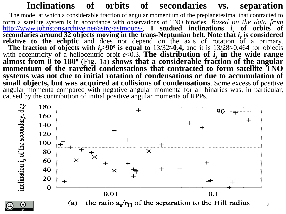#### **Inclinations of orbits of secondaries vs. separation**

The model at which a considerable fraction of angular momentum of the preplanetesimal that contracted to form a satellite system is in accordance with observations of TNO binaries. *Based on the data from* <http://www.johnstonsarchive.net/astro/astmoons/>, **I studied inclinations** *i <sup>s</sup>* **of orbits of secondaries around 32 objects moving in the trans-Neptunian belt. Note that** *i s* **is considered relative to the ecliptic** and does not depend on the axis of rotation of a primary. **The fraction of objects with**  $i_s$ **>90<sup>°</sup> is equal to** 13/32≈0.4, and it is 13/28≈0.464 for objects with eccentricity of a heliocentric orbit  $e < 0.3$ . The distribution of  $i_s$  in the wide range **almost from 0 to 180<sup>o</sup>** (Fig. 1a) **shows that a considerable fraction of the angular momentum of the rarefied condensations that contracted to form satellite TNO systems was not due to initial rotation of condensations or due to accumulation of small objects, but was acquired at collisions of condensations**. Some excess of positive angular momenta compared with negative angular momenta for all binaries was, in particular, caused by the contribution of initial positive angular momenta of RPPs.

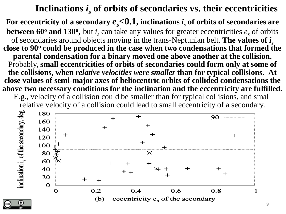#### **Inclinations** *i <sup>s</sup>* **of orbits of secondaries vs. their eccentricities**

For eccentricity of a secondary  $e_{\scriptscriptstyle S}{<}0.1,$  inclinations  $i_{\scriptscriptstyle S}$  of orbits of secondaries are **between 60<sup>°</sup> and 130<sup>°</sup>, but**  $i_s$  **can take any values for greater eccentricities**  $e_s$  **of orbits** of secondaries around objects moving in the trans-Neptunian belt. **The values of** *i s* **close to 90<sup>o</sup> could be produced in the case when two condensations that formed the parental condensation for a binary moved one above another at the collision.**  Probably, **small eccentricities of orbits of secondaries could form only at some of the collisions, when** *relative velocities were smaller* **than for typical collisions**. **At close values of semi-major axes of heliocentric orbits of collided condensations the above two necessary conditions for the inclination and the eccentricity are fulfilled.** 

E.g., velocity of a collision could be smaller than for typical collisions, and small relative velocity of a collision could lead to small eccentricity of a secondary.

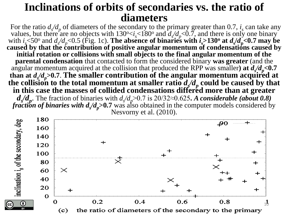#### **Inclinations of orbits of secondaries vs. the ratio of diameters**

For the ratio  $d_s/d_p$  of diameters of the secondary to the primary greater than 0.7,  $i_s$  can take any values, but there are no objects with  $130^{\circ} < i_s < 180^{\circ}$  and  $d_s/d_p < 0.7$ , and there is only one binary with  $i_s$  <50<sup>o</sup> and  $d_s/d_p$  <0.5 (Fig. 1c). The absence of binaries with  $i_s$  >130<sup>o</sup> at  $d_s/d_p$  <0.7 may be **caused by that the contribution of positive angular momentum of condensations caused by initial rotation or collisions with small objects to the final angular momentum of the parental condensation** that contacted to form the considered binary **was greater** (and the angular momentum acquired at the collision that produced the RPP was smaller) at  $d_x/d_y < 0.7$ than at  $d_x/d_y > 0.7$ . The smaller contribution of the angular momentum acquired at the collision to the total momentum at smaller ratio  $d_x/d_p$  could be caused by that **in this case the masses of collided condensations differed more than at greater**   $d_s/d_p$ . The fraction of binaries with  $d_s/d_p$ >0.7 is 20/32≈0.625**.** *A considerable (about 0.8) fraction of binaries with*  $d_s/d_p$  > 0.7 was also obtained in the computer models considered by Nesvorny et al. (2010).

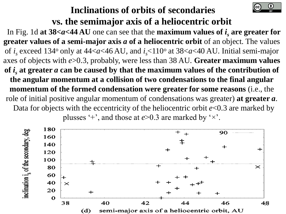#### **Inclinations of orbits of secondaries vs. the semimajor axis of a heliocentric orbit**

In Fig. 1d at  $38 < a < 44$  AU one can see that the **maximum values of**  $i_s$  **are greater for greater values of a semi-major axis** *a* **of a heliocentric orbit** of an object. The values of *i s* exceed 134<sup>o</sup> only at 44<*a*<46 AU, and *i <sup>s</sup>*<110<sup>o</sup> at 38<*a*<40 AU. Initial semi-major axes of objects with *e*>0.3, probably, were less than 38 AU. **Greater maximum values**  of  $\bm{i}_s$  at greater  $\bm{a}$  can be caused by that the maximum values of the contribution of **the angular momentum at a collision of two condensations to the final angular momentum of the formed condensation were greater for some reasons** (i.e., the role of initial positive angular momentum of condensations was greater) **at greater** *a*. Data for objects with the eccentricity of the heliocentric orbit *e*<0.3 are marked by plusses '+', and those at *e*>0.3 are marked by '×'.

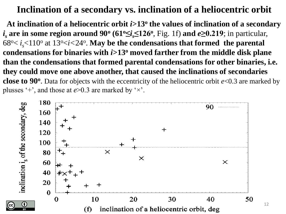#### **Inclination of a secondary vs. inclination of a heliocentric orbit**

At inclination of a heliocentric orbit *i*>13<sup>°</sup> the values of inclination of a secondary *i <sup>s</sup>* **are in some region around 90<sup>o</sup> (61<sup>o</sup>≤***i s***≤126<sup>o</sup>** , Fig. 1f) **and** *e***≥0.219**; in particular,  $68^{\circ} < i_s$  < 110° at 13°  *< 24°. May be the condensations that formed the parental* **condensations for binaries with** *i***>13<sup>o</sup> moved farther from the middle disk plane than the condensations that formed parental condensations for other binaries, i.e. they could move one above another, that caused the inclinations of secondaries close to 90<sup>o</sup>** . Data for objects with the eccentricity of the heliocentric orbit *e*<0.3 are marked by plusses '+', and those at *e*>0.3 are marked by '×'.



12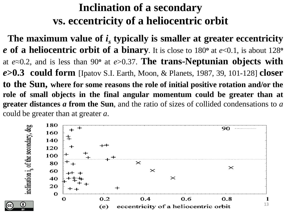#### **Inclination of a secondary vs. eccentricity of a heliocentric orbit**

**The maximum value of** *i s* **typically is smaller at greater eccentricity** *e* **of a heliocentric orbit of a binary**. It is close to 180**<sup>o</sup>** at *e*<0.1, is about 128**<sup>o</sup>** at *e*≈0.2, and is less than 90**<sup>o</sup>** at *e*>0.37. **The trans-Neptunian objects with** *e***>0.3 could form** [Ipatov S.I. Earth, Moon, & Planets, 1987, 39, 101-128] **closer to the Sun, where for some reasons the role of initial positive rotation and/or the role of small objects in the final angular momentum could be greater than at greater distances** *a* **from the Sun**, and the ratio of sizes of collided condensations to *a* could be greater than at greater *a*.

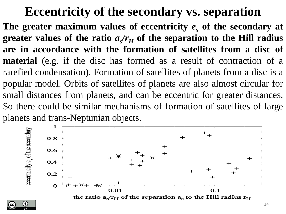### **Eccentricity of the secondary vs. separation**

**The greater maximum values of eccentricity** *e<sup>s</sup>* **of the secondary at** greater values of the ratio  $a_{s}/r_{H}$  of the separation to the Hill radius **are in accordance with the formation of satellites from a disc of material** (e.g. if the disc has formed as a result of contraction of a rarefied condensation). Formation of satellites of planets from a disc is a popular model. Orbits of satellites of planets are also almost circular for small distances from planets, and can be eccentric for greater distances. So there could be similar mechanisms of formation of satellites of large planets and trans-Neptunian objects.



the ratio  $a_s/r_H$  of the separation  $a_s$  to the Hill radius  $r_H$ 

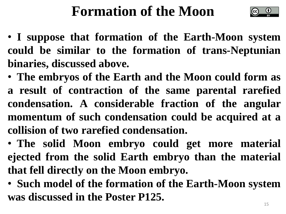## **Formation of the Moon**



- • **I suppose that formation of the Earth-Moon system could be similar to the formation of trans-Neptunian binaries, discussed above.**
- • **The embryos of the Earth and the Moon could form as a result of contraction of the same parental rarefied condensation. A considerable fraction of the angular momentum of such condensation could be acquired at a collision of two rarefied condensation.**
- • **The solid Moon embryo could get more material ejected from the solid Earth embryo than the material that fell directly on the Moon embryo.**
- • **Such model of the formation of the Earth-Moon system was discussed in the Poster P125.**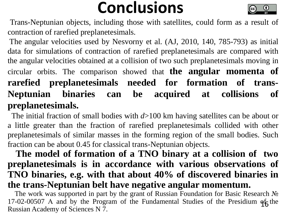## **Conclusions**



Trans-Neptunian objects, including those with satellites, could form as a result of contraction of rarefied preplanetesimals.

The angular velocities used by Nesvorny et al. (AJ, 2010, 140, 785-793) as initial data for simulations of contraction of rarefied preplanetesimals are compared with the angular velocities obtained at a collision of two such preplanetesimals moving in circular orbits. The comparison showed that **the angular momenta of rarefied preplanetesimals needed for formation of trans-Neptunian binaries can be acquired at collisions of preplanetesimals.**

 The initial fraction of small bodies with *d*>100 km having satellites can be about or a little greater than the fraction of rarefied preplanetesimals collided with other preplanetesimals of similar masses in the forming region of the small bodies. Such fraction can be about 0.45 for classical trans-Neptunian objects.

#### **The model of formation of a TNO binary at a collision of two preplanetesimals is in accordance with various observations of TNO binaries, e.g. with that about 40% of discovered binaries in the trans-Neptunian belt have negative angular momentum.**

 The work was supported in part by the grant of Russian Foundation for Basic Research № 17-02-00507 A and by the Program of the Fundamental Studies of the Presidium  $q_6^2$  the Russian Academy of Sciences N 7.